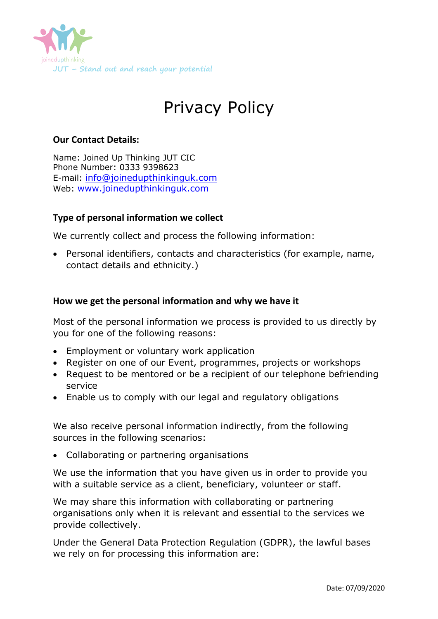

# Privacy Policy

## **Our Contact Details:**

Name: Joined Up Thinking JUT CIC Phone Number: 0333 9398623 E-mail: [info@joinedupthinkinguk.com](mailto:info@joinedupthinkinguk.com) Web: [www.joinedupthinkinguk.com](http://www.joinedupthinkinguk.com/)

## **Type of personal information we collect**

We currently collect and process the following information:

 Personal identifiers, contacts and characteristics (for example, name, contact details and ethnicity.)

### **How we get the personal information and why we have it**

Most of the personal information we process is provided to us directly by you for one of the following reasons:

- Employment or voluntary work application
- Register on one of our Event, programmes, projects or workshops
- Request to be mentored or be a recipient of our telephone befriending service
- Enable us to comply with our legal and regulatory obligations

We also receive personal information indirectly, from the following sources in the following scenarios:

Collaborating or partnering organisations

We use the information that you have given us in order to provide you with a suitable service as a client, beneficiary, volunteer or staff.

We may share this information with collaborating or partnering organisations only when it is relevant and essential to the services we provide collectively.

Under the General Data Protection Regulation (GDPR), the lawful bases we rely on for processing this information are: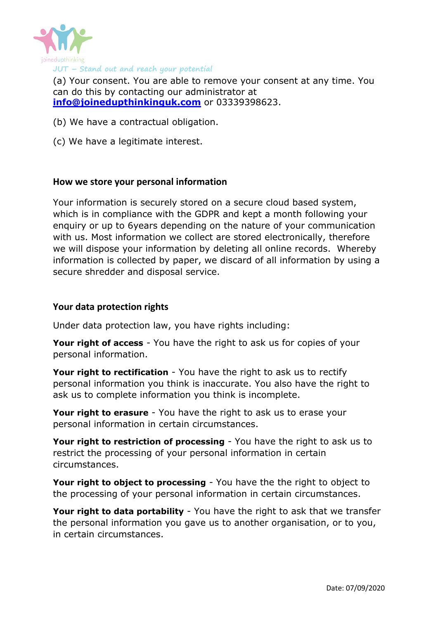

(a) Your consent. You are able to remove your consent at any time. You can do this by contacting our administrator at **[info@joinedupthinkinguk.com](mailto:info@joinedupthinkinguk.com)** or 03339398623.

- (b) We have a contractual obligation.
- (c) We have a legitimate interest.

#### **How we store your personal information**

Your information is securely stored on a secure cloud based system, which is in compliance with the GDPR and kept a month following your enquiry or up to 6years depending on the nature of your communication with us. Most information we collect are stored electronically, therefore we will dispose your information by deleting all online records. Whereby information is collected by paper, we discard of all information by using a secure shredder and disposal service.

#### **Your data protection rights**

Under data protection law, you have rights including:

**Your right of access** - You have the right to ask us for copies of your personal information.

**Your right to rectification** - You have the right to ask us to rectify personal information you think is inaccurate. You also have the right to ask us to complete information you think is incomplete.

**Your right to erasure** - You have the right to ask us to erase your personal information in certain circumstances.

**Your right to restriction of processing** - You have the right to ask us to restrict the processing of your personal information in certain circumstances.

**Your right to object to processing** - You have the the right to object to the processing of your personal information in certain circumstances.

**Your right to data portability** - You have the right to ask that we transfer the personal information you gave us to another organisation, or to you, in certain circumstances.